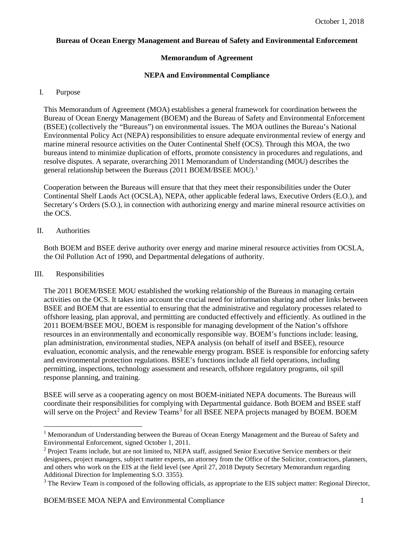## **Bureau of Ocean Energy Management and Bureau of Safety and Environmental Enforcement**

## **Memorandum of Agreement**

## **NEPA and Environmental Compliance**

#### I. Purpose

This Memorandum of Agreement (MOA) establishes a general framework for coordination between the Bureau of Ocean Energy Management (BOEM) and the Bureau of Safety and Environmental Enforcement (BSEE) (collectively the "Bureaus") on environmental issues. The MOA outlines the Bureau's National Environmental Policy Act (NEPA) responsibilities to ensure adequate environmental review of energy and marine mineral resource activities on the Outer Continental Shelf (OCS). Through this MOA, the two bureaus intend to minimize duplication of efforts, promote consistency in procedures and regulations, and resolve disputes. A separate, overarching 2011 Memorandum of Understanding (MOU) describes the general relationship between the Bureaus (20[1](#page-0-0)1 BOEM/BSEE MOU).<sup>1</sup>

Cooperation between the Bureaus will ensure that that they meet their responsibilities under the Outer Continental Shelf Lands Act (OCSLA), NEPA, other applicable federal laws, Executive Orders (E.O.), and Secretary's Orders (S.O.), in connection with authorizing energy and marine mineral resource activities on the OCS.

## II. Authorities

Both BOEM and BSEE derive authority over energy and marine mineral resource activities from OCSLA, the Oil Pollution Act of 1990, and Departmental delegations of authority.

#### III. Responsibilities

The 2011 BOEM/BSEE MOU established the working relationship of the Bureaus in managing certain activities on the OCS. It takes into account the crucial need for information sharing and other links between BSEE and BOEM that are essential to ensuring that the administrative and regulatory processes related to offshore leasing, plan approval, and permitting are conducted effectively and efficiently. As outlined in the 2011 BOEM/BSEE MOU, BOEM is responsible for managing development of the Nation's offshore resources in an environmentally and economically responsible way. BOEM's functions include: leasing, plan administration, environmental studies, NEPA analysis (on behalf of itself and BSEE), resource evaluation, economic analysis, and the renewable energy program. BSEE is responsible for enforcing safety and environmental protection regulations. BSEE's functions include all field operations, including permitting, inspections, technology assessment and research, offshore regulatory programs, oil spill response planning, and training.

BSEE will serve as a cooperating agency on most BOEM-initiated NEPA documents. The Bureaus will coordinate their responsibilities for complying with Departmental guidance. Both BOEM and BSEE staff will serve on the Project<sup>[2](#page-0-1)</sup> and Review Teams<sup>[3](#page-0-2)</sup> for all BSEE NEPA projects managed by BOEM. BOEM

<span id="page-0-0"></span><sup>&</sup>lt;sup>1</sup> Memorandum of Understanding between the Bureau of Ocean Energy Management and the Bureau of Safety and Environmental Enforcement, signed October 1, 2011.

<span id="page-0-1"></span><sup>&</sup>lt;sup>2</sup> Project Teams include, but are not limited to, NEPA staff, assigned Senior Executive Service members or their designees, project managers, subject matter experts, an attorney from the Office of the Solicitor, contractors, planners, and others who work on the EIS at the field level (see April 27, 2018 Deputy Secretary Memorandum regarding Additional Direction for Implementing S.O. 3355).

<span id="page-0-2"></span><sup>&</sup>lt;sup>3</sup> The Review Team is composed of the following officials, as appropriate to the EIS subject matter: Regional Director,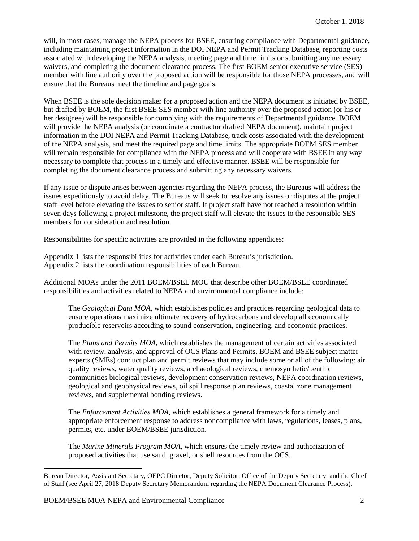will, in most cases, manage the NEPA process for BSEE, ensuring compliance with Departmental guidance, including maintaining project information in the DOI NEPA and Permit Tracking Database, reporting costs associated with developing the NEPA analysis, meeting page and time limits or submitting any necessary waivers, and completing the document clearance process. The first BOEM senior executive service (SES) member with line authority over the proposed action will be responsible for those NEPA processes, and will ensure that the Bureaus meet the timeline and page goals.

When BSEE is the sole decision maker for a proposed action and the NEPA document is initiated by BSEE, but drafted by BOEM, the first BSEE SES member with line authority over the proposed action (or his or her designee) will be responsible for complying with the requirements of Departmental guidance. BOEM will provide the NEPA analysis (or coordinate a contractor drafted NEPA document), maintain project information in the DOI NEPA and Permit Tracking Database, track costs associated with the development of the NEPA analysis, and meet the required page and time limits. The appropriate BOEM SES member will remain responsible for compliance with the NEPA process and will cooperate with BSEE in any way necessary to complete that process in a timely and effective manner. BSEE will be responsible for completing the document clearance process and submitting any necessary waivers.

If any issue or dispute arises between agencies regarding the NEPA process, the Bureaus will address the issues expeditiously to avoid delay. The Bureaus will seek to resolve any issues or disputes at the project staff level before elevating the issues to senior staff. If project staff have not reached a resolution within seven days following a project milestone, the project staff will elevate the issues to the responsible SES members for consideration and resolution.

Responsibilities for specific activities are provided in the following appendices:

Appendix 1 lists the responsibilities for activities under each Bureau's jurisdiction. Appendix 2 lists the coordination responsibilities of each Bureau.

Additional MOAs under the 2011 BOEM/BSEE MOU that describe other BOEM/BSEE coordinated responsibilities and activities related to NEPA and environmental compliance include:

The *Geological Data MOA*, which establishes policies and practices regarding geological data to ensure operations maximize ultimate recovery of hydrocarbons and develop all economically producible reservoirs according to sound conservation, engineering, and economic practices.

The *Plans and Permits MOA*, which establishes the management of certain activities associated with review, analysis, and approval of OCS Plans and Permits. BOEM and BSEE subject matter experts (SMEs) conduct plan and permit reviews that may include some or all of the following: air quality reviews, water quality reviews, archaeological reviews, chemosynthetic/benthic communities biological reviews, development conservation reviews, NEPA coordination reviews, geological and geophysical reviews, oil spill response plan reviews, coastal zone management reviews, and supplemental bonding reviews.

The *Enforcement Activities MOA*, which establishes a general framework for a timely and appropriate enforcement response to address noncompliance with laws, regulations, leases, plans, permits, etc. under BOEM/BSEE jurisdiction.

The *Marine Minerals Program MOA*, which ensures the timely review and authorization of proposed activities that use sand, gravel, or shell resources from the OCS.

 $\overline{a}$ 

Bureau Director, Assistant Secretary, OEPC Director, Deputy Solicitor, Office of the Deputy Secretary, and the Chief of Staff (see April 27, 2018 Deputy Secretary Memorandum regarding the NEPA Document Clearance Process).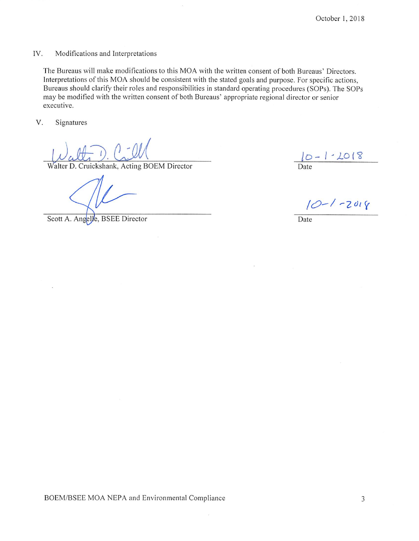#### IV. Modifications and Interpretations

The Bureaus will make modifications to this MOA with the written consent of both Bureaus' Directors. Interpretations of this MOA should be consistent with the stated goals and purpose. For specific actions, Bureaus should clarify their roles and responsibilities in standard operating procedures (SOPs). The SOPs may be modified with the written consent of both Bureaus' appropriate regional director or senior executive.

V. Signatures

Walter D. Cruickshank, Acting BOEM Director

Scott A. Angelle, BSEE Director

 $10 - 1.2018$ 

 $10 - 1 - 2018$ 

Date

BOEM/BSEE MOA NEPA and Environmental Compliance

 $\sim$ 

3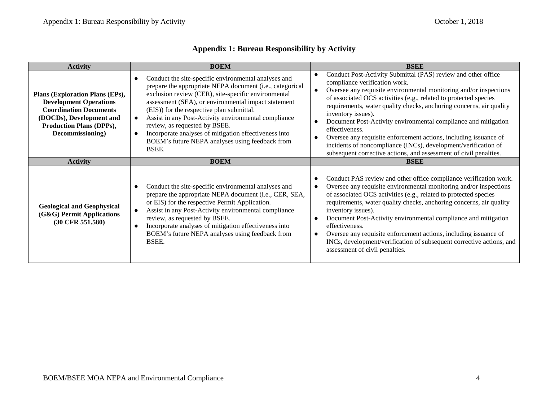| <b>Activity</b>                                                                                                                                                                      | <b>BOEM</b>                                                                                                                                                                                                                                                                                                                                                                                                                                                                                                                      | <b>BSEE</b>                                                                                                                                                                                                                                                                                                                                                                                                                                                                                                                                                                                                                         |
|--------------------------------------------------------------------------------------------------------------------------------------------------------------------------------------|----------------------------------------------------------------------------------------------------------------------------------------------------------------------------------------------------------------------------------------------------------------------------------------------------------------------------------------------------------------------------------------------------------------------------------------------------------------------------------------------------------------------------------|-------------------------------------------------------------------------------------------------------------------------------------------------------------------------------------------------------------------------------------------------------------------------------------------------------------------------------------------------------------------------------------------------------------------------------------------------------------------------------------------------------------------------------------------------------------------------------------------------------------------------------------|
| Plans (Exploration Plans (EPs),<br><b>Development Operations</b><br><b>Coordination Documents</b><br>(DOCDs), Development and<br><b>Production Plans (DPPs),</b><br>Decommissioning) | Conduct the site-specific environmental analyses and<br>$\bullet$<br>prepare the appropriate NEPA document (i.e., categorical<br>exclusion review (CER), site-specific environmental<br>assessment (SEA), or environmental impact statement<br>(EIS)) for the respective plan submittal.<br>Assist in any Post-Activity environmental compliance<br>$\bullet$<br>review, as requested by BSEE.<br>Incorporate analyses of mitigation effectiveness into<br>$\bullet$<br>BOEM's future NEPA analyses using feedback from<br>BSEE. | Conduct Post-Activity Submittal (PAS) review and other office<br>compliance verification work.<br>Oversee any requisite environmental monitoring and/or inspections<br>of associated OCS activities (e.g., related to protected species<br>requirements, water quality checks, anchoring concerns, air quality<br>inventory issues).<br>Document Post-Activity environmental compliance and mitigation<br>effectiveness.<br>Oversee any requisite enforcement actions, including issuance of<br>incidents of noncompliance (INCs), development/verification of<br>subsequent corrective actions, and assessment of civil penalties. |
| <b>Activity</b>                                                                                                                                                                      | <b>BOEM</b>                                                                                                                                                                                                                                                                                                                                                                                                                                                                                                                      | <b>BSEE</b>                                                                                                                                                                                                                                                                                                                                                                                                                                                                                                                                                                                                                         |
| <b>Geological and Geophysical</b><br>$(G&G)$ Permit Applications<br>$(30 \text{ CFR } 551.580)$                                                                                      | Conduct the site-specific environmental analyses and<br>prepare the appropriate NEPA document (i.e., CER, SEA,<br>or EIS) for the respective Permit Application.<br>Assist in any Post-Activity environmental compliance<br>$\bullet$<br>review, as requested by BSEE.<br>Incorporate analyses of mitigation effectiveness into<br>$\bullet$<br>BOEM's future NEPA analyses using feedback from<br>BSEE.                                                                                                                         | Conduct PAS review and other office compliance verification work.<br>Oversee any requisite environmental monitoring and/or inspections<br>of associated OCS activities (e.g., related to protected species<br>requirements, water quality checks, anchoring concerns, air quality<br>inventory issues).<br>Document Post-Activity environmental compliance and mitigation<br>effectiveness.<br>Oversee any requisite enforcement actions, including issuance of<br>INCs, development/verification of subsequent corrective actions, and<br>assessment of civil penalties.                                                           |

# **Appendix 1: Bureau Responsibility by Activity**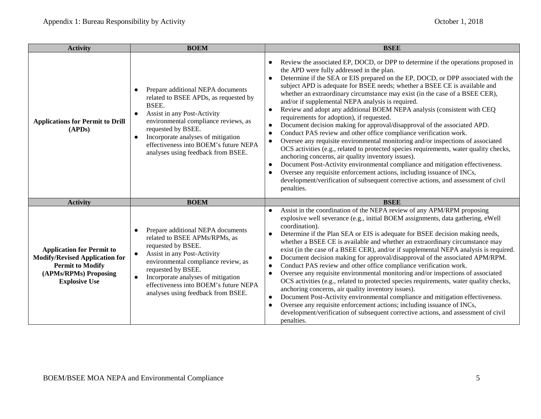| <b>Activity</b>                                                                                                                                       | <b>BOEM</b>                                                                                                                                                                                                                                                                                                                                      | <b>BSEE</b>                                                                                                                                                                                                                                                                                                                                                                                                                                                                                                                                                                                                                                                                                                                                                                                                                                                                                                                                                                                                                                                                                                                                                                                                                                             |  |  |
|-------------------------------------------------------------------------------------------------------------------------------------------------------|--------------------------------------------------------------------------------------------------------------------------------------------------------------------------------------------------------------------------------------------------------------------------------------------------------------------------------------------------|---------------------------------------------------------------------------------------------------------------------------------------------------------------------------------------------------------------------------------------------------------------------------------------------------------------------------------------------------------------------------------------------------------------------------------------------------------------------------------------------------------------------------------------------------------------------------------------------------------------------------------------------------------------------------------------------------------------------------------------------------------------------------------------------------------------------------------------------------------------------------------------------------------------------------------------------------------------------------------------------------------------------------------------------------------------------------------------------------------------------------------------------------------------------------------------------------------------------------------------------------------|--|--|
| <b>Applications for Permit to Drill</b><br>(APDs)                                                                                                     | Prepare additional NEPA documents<br>$\bullet$<br>related to BSEE APDs, as requested by<br>BSEE.<br>Assist in any Post-Activity<br>environmental compliance reviews, as<br>requested by BSEE.<br>Incorporate analyses of mitigation<br>$\bullet$<br>effectiveness into BOEM's future NEPA<br>analyses using feedback from BSEE.                  | Review the associated EP, DOCD, or DPP to determine if the operations proposed in<br>the APD were fully addressed in the plan.<br>Determine if the SEA or EIS prepared on the EP, DOCD, or DPP associated with the<br>$\bullet$<br>subject APD is adequate for BSEE needs; whether a BSEE CE is available and<br>whether an extraordinary circumstance may exist (in the case of a BSEE CER),<br>and/or if supplemental NEPA analysis is required.<br>Review and adopt any additional BOEM NEPA analysis (consistent with CEQ<br>$\bullet$<br>requirements for adoption), if requested.<br>Document decision making for approval/disapproval of the associated APD.<br>Conduct PAS review and other office compliance verification work.<br>$\bullet$<br>Oversee any requisite environmental monitoring and/or inspections of associated<br>OCS activities (e.g., related to protected species requirements, water quality checks,<br>anchoring concerns, air quality inventory issues).<br>Document Post-Activity environmental compliance and mitigation effectiveness.<br>Oversee any requisite enforcement actions, including issuance of INCs,<br>development/verification of subsequent corrective actions, and assessment of civil<br>penalties. |  |  |
| <b>Activity</b>                                                                                                                                       | <b>BOEM</b>                                                                                                                                                                                                                                                                                                                                      | <b>BSEE</b>                                                                                                                                                                                                                                                                                                                                                                                                                                                                                                                                                                                                                                                                                                                                                                                                                                                                                                                                                                                                                                                                                                                                                                                                                                             |  |  |
| <b>Application for Permit to</b><br><b>Modify/Revised Application for</b><br><b>Permit to Modify</b><br>(APMs/RPMs) Proposing<br><b>Explosive Use</b> | Prepare additional NEPA documents<br>$\bullet$<br>related to BSEE APMs/RPMs, as<br>requested by BSEE.<br>Assist in any Post-Activity<br>$\bullet$<br>environmental compliance review, as<br>requested by BSEE.<br>Incorporate analyses of mitigation<br>$\bullet$<br>effectiveness into BOEM's future NEPA<br>analyses using feedback from BSEE. | Assist in the coordination of the NEPA review of any APM/RPM proposing<br>$\bullet$<br>explosive well severance (e.g., initial BOEM assignments, data gathering, eWell<br>coordination).<br>Determine if the Plan SEA or EIS is adequate for BSEE decision making needs,<br>$\bullet$<br>whether a BSEE CE is available and whether an extraordinary circumstance may<br>exist (in the case of a BSEE CER), and/or if supplemental NEPA analysis is required.<br>Document decision making for approval/disapproval of the associated APM/RPM.<br>$\bullet$<br>Conduct PAS review and other office compliance verification work.<br>$\bullet$<br>Oversee any requisite environmental monitoring and/or inspections of associated<br>$\bullet$<br>OCS activities (e.g., related to protected species requirements, water quality checks,<br>anchoring concerns, air quality inventory issues).<br>Document Post-Activity environmental compliance and mitigation effectiveness.<br>$\bullet$<br>Oversee any requisite enforcement actions; including issuance of INCs,<br>$\bullet$<br>development/verification of subsequent corrective actions, and assessment of civil<br>penalties.                                                                   |  |  |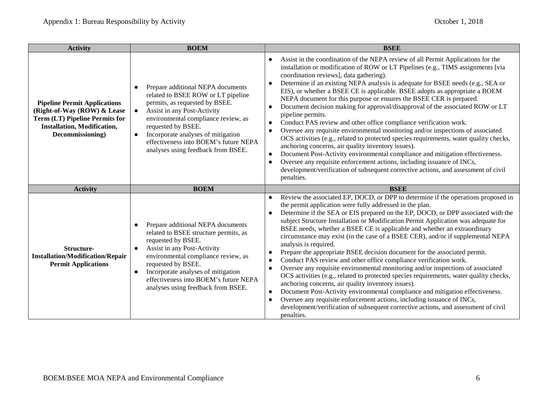| <b>Activity</b>                                                                                                                                                       | <b>BOEM</b>                                                                                                                                                                                                                                                                                                                                                       | <b>BSEE</b>                                                                                                                                                                                                                                                                                                                                                                                                                                                                                                                                                                                                                                                                                                                                                                                                                                                                                                                                                                                                                                                                                                                                                                                                                          |  |
|-----------------------------------------------------------------------------------------------------------------------------------------------------------------------|-------------------------------------------------------------------------------------------------------------------------------------------------------------------------------------------------------------------------------------------------------------------------------------------------------------------------------------------------------------------|--------------------------------------------------------------------------------------------------------------------------------------------------------------------------------------------------------------------------------------------------------------------------------------------------------------------------------------------------------------------------------------------------------------------------------------------------------------------------------------------------------------------------------------------------------------------------------------------------------------------------------------------------------------------------------------------------------------------------------------------------------------------------------------------------------------------------------------------------------------------------------------------------------------------------------------------------------------------------------------------------------------------------------------------------------------------------------------------------------------------------------------------------------------------------------------------------------------------------------------|--|
| <b>Pipeline Permit Applications</b><br>(Right-of-Way (ROW) & Lease<br><b>Term (LT) Pipeline Permits for</b><br><b>Installation, Modification,</b><br>Decommissioning) | Prepare additional NEPA documents<br>$\bullet$<br>related to BSEE ROW or LT pipeline<br>permits, as requested by BSEE.<br>Assist in any Post-Activity<br>$\bullet$<br>environmental compliance review, as<br>requested by BSEE.<br>Incorporate analyses of mitigation<br>$\bullet$<br>effectiveness into BOEM's future NEPA<br>analyses using feedback from BSEE. | Assist in the coordination of the NEPA review of all Permit Applications for the<br>installation or modification of ROW or LT Pipelines (e.g., TIMS assignments [via<br>coordination reviews], data gathering).<br>Determine if an existing NEPA analysis is adequate for BSEE needs (e.g., SEA or<br>$\bullet$<br>EIS), or whether a BSEE CE is applicable. BSEE adopts as appropriate a BOEM<br>NEPA document for this purpose or ensures the BSEE CER is prepared.<br>Document decision making for approval/disapproval of the associated ROW or LT<br>$\bullet$<br>pipeline permits.<br>Conduct PAS review and other office compliance verification work.<br>$\bullet$<br>Oversee any requisite environmental monitoring and/or inspections of associated<br>OCS activities (e.g., related to protected species requirements, water quality checks,<br>anchoring concerns, air quality inventory issues).<br>Document Post-Activity environmental compliance and mitigation effectiveness.<br>Oversee any requisite enforcement actions, including issuance of INCs,<br>development/verification of subsequent corrective actions, and assessment of civil<br>penalties.                                                         |  |
| <b>Activity</b>                                                                                                                                                       | <b>BOEM</b>                                                                                                                                                                                                                                                                                                                                                       | <b>BSEE</b>                                                                                                                                                                                                                                                                                                                                                                                                                                                                                                                                                                                                                                                                                                                                                                                                                                                                                                                                                                                                                                                                                                                                                                                                                          |  |
| <b>Structure-</b><br><b>Installation/Modification/Repair</b><br><b>Permit Applications</b>                                                                            | Prepare additional NEPA documents<br>$\bullet$<br>related to BSEE structure permits, as<br>requested by BSEE.<br>Assist in any Post-Activity<br>$\bullet$<br>environmental compliance review, as<br>requested by BSEE.<br>Incorporate analyses of mitigation<br>$\bullet$<br>effectiveness into BOEM's future NEPA<br>analyses using feedback from BSEE.          | Review the associated EP, DOCD, or DPP to determine if the operations proposed in<br>$\bullet$<br>the permit application were fully addressed in the plan.<br>Determine if the SEA or EIS prepared on the EP, DOCD, or DPP associated with the<br>subject Structure Installation or Modification Permit Application was adequate for<br>BSEE needs, whether a BSEE CE is applicable and whether an extraordinary<br>circumstance may exist (in the case of a BSEE CER), and/or if supplemental NEPA<br>analysis is required.<br>Prepare the appropriate BSEE decision document for the associated permit.<br>$\bullet$<br>Conduct PAS review and other office compliance verification work.<br>$\bullet$<br>Oversee any requisite environmental monitoring and/or inspections of associated<br>$\bullet$<br>OCS activities (e.g., related to protected species requirements, water quality checks,<br>anchoring concerns, air quality inventory issues).<br>Document Post-Activity environmental compliance and mitigation effectiveness.<br>Oversee any requisite enforcement actions, including issuance of INCs,<br>$\bullet$<br>development/verification of subsequent corrective actions, and assessment of civil<br>penalties. |  |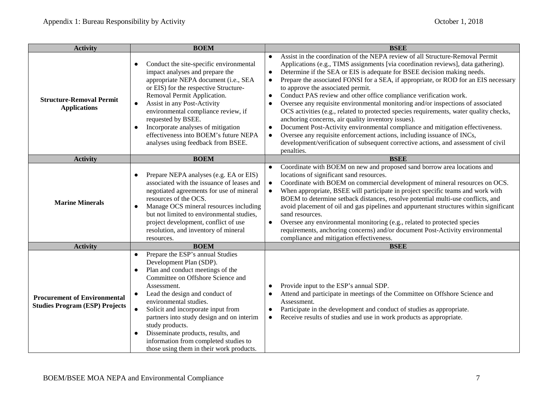| <b>Activity</b>                                                              | <b>BOEM</b>                                                                                                                                                                                                                                                                                                                                                                                                                                                                                                       | <b>BSEE</b>                                                                                                                                                                                                                                                                                                                                                                                                                                                                                                                                                                                                                                                                                                                                                                                                                                                                                                                                                                                                                    |
|------------------------------------------------------------------------------|-------------------------------------------------------------------------------------------------------------------------------------------------------------------------------------------------------------------------------------------------------------------------------------------------------------------------------------------------------------------------------------------------------------------------------------------------------------------------------------------------------------------|--------------------------------------------------------------------------------------------------------------------------------------------------------------------------------------------------------------------------------------------------------------------------------------------------------------------------------------------------------------------------------------------------------------------------------------------------------------------------------------------------------------------------------------------------------------------------------------------------------------------------------------------------------------------------------------------------------------------------------------------------------------------------------------------------------------------------------------------------------------------------------------------------------------------------------------------------------------------------------------------------------------------------------|
| <b>Structure-Removal Permit</b><br><b>Applications</b>                       | Conduct the site-specific environmental<br>$\bullet$<br>impact analyses and prepare the<br>appropriate NEPA document (i.e., SEA<br>or EIS) for the respective Structure-<br>Removal Permit Application.<br>Assist in any Post-Activity<br>$\bullet$<br>environmental compliance review, if<br>requested by BSEE.<br>Incorporate analyses of mitigation<br>$\bullet$<br>effectiveness into BOEM's future NEPA<br>analyses using feedback from BSEE.                                                                | Assist in the coordination of the NEPA review of all Structure-Removal Permit<br>Applications (e.g., TIMS assignments [via coordination reviews], data gathering).<br>Determine if the SEA or EIS is adequate for BSEE decision making needs.<br>$\bullet$<br>Prepare the associated FONSI for a SEA, if appropriate, or ROD for an EIS necessary<br>$\bullet$<br>to approve the associated permit.<br>Conduct PAS review and other office compliance verification work.<br>$\bullet$<br>Oversee any requisite environmental monitoring and/or inspections of associated<br>$\bullet$<br>OCS activities (e.g., related to protected species requirements, water quality checks,<br>anchoring concerns, air quality inventory issues).<br>Document Post-Activity environmental compliance and mitigation effectiveness.<br>$\bullet$<br>Oversee any requisite enforcement actions, including issuance of INCs,<br>$\bullet$<br>development/verification of subsequent corrective actions, and assessment of civil<br>penalties. |
| <b>Activity</b>                                                              | <b>BOEM</b>                                                                                                                                                                                                                                                                                                                                                                                                                                                                                                       | <b>BSEE</b>                                                                                                                                                                                                                                                                                                                                                                                                                                                                                                                                                                                                                                                                                                                                                                                                                                                                                                                                                                                                                    |
| <b>Marine Minerals</b>                                                       | Prepare NEPA analyses (e.g. EA or EIS)<br>$\bullet$<br>associated with the issuance of leases and<br>negotiated agreements for use of mineral<br>resources of the OCS.<br>Manage OCS mineral resources including<br>$\bullet$<br>but not limited to environmental studies,<br>project development, conflict of use<br>resolution, and inventory of mineral<br>resources.                                                                                                                                          | Coordinate with BOEM on new and proposed sand borrow area locations and<br>$\bullet$<br>locations of significant sand resources.<br>Coordinate with BOEM on commercial development of mineral resources on OCS.<br>$\bullet$<br>When appropriate, BSEE will participate in project specific teams and work with<br>$\bullet$<br>BOEM to determine setback distances, resolve potential multi-use conflicts, and<br>avoid placement of oil and gas pipelines and appurtenant structures within significant<br>sand resources.<br>Oversee any environmental monitoring (e.g., related to protected species<br>$\bullet$<br>requirements, anchoring concerns) and/or document Post-Activity environmental<br>compliance and mitigation effectiveness.                                                                                                                                                                                                                                                                             |
| <b>Activity</b>                                                              | <b>BOEM</b>                                                                                                                                                                                                                                                                                                                                                                                                                                                                                                       | <b>BSEE</b>                                                                                                                                                                                                                                                                                                                                                                                                                                                                                                                                                                                                                                                                                                                                                                                                                                                                                                                                                                                                                    |
| <b>Procurement of Environmental</b><br><b>Studies Program (ESP) Projects</b> | Prepare the ESP's annual Studies<br>$\bullet$<br>Development Plan (SDP).<br>Plan and conduct meetings of the<br>$\bullet$<br>Committee on Offshore Science and<br>Assessment.<br>Lead the design and conduct of<br>$\bullet$<br>environmental studies.<br>Solicit and incorporate input from<br>$\bullet$<br>partners into study design and on interim<br>study products.<br>Disseminate products, results, and<br>$\bullet$<br>information from completed studies to<br>those using them in their work products. | Provide input to the ESP's annual SDP.<br>Attend and participate in meetings of the Committee on Offshore Science and<br>$\bullet$<br>Assessment.<br>Participate in the development and conduct of studies as appropriate.<br>$\bullet$<br>Receive results of studies and use in work products as appropriate.<br>$\bullet$                                                                                                                                                                                                                                                                                                                                                                                                                                                                                                                                                                                                                                                                                                    |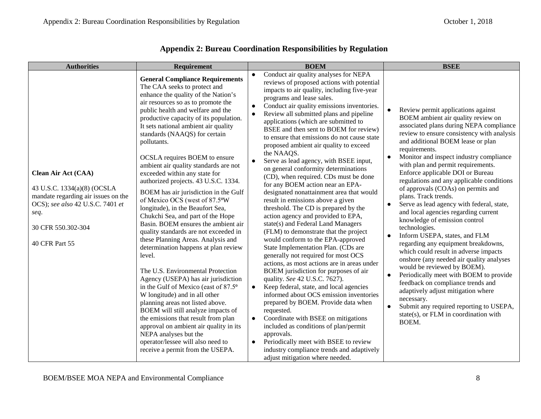| <b>Authorities</b>                                                                                                                                                            | Requirement                                                                                                                                                                                                                                                                                                                                                                                                                                                                                                                                                                                                                                                                                                                                                                                                                                                                                                                                                                                                                                                                                                                                                                                                                | <b>BOEM</b>                                                                                                                                                                                                                                                                                                                                                                                                                                                                                                                                                                                                                                                                                                                                                                                                                                                                                                                                                                                                                                                                                                                                                                                                                                                                                                                                                                                                                                                                                                                                                | <b>BSEE</b>                                                                                                                                                                                                                                                                                                                                                                                                                                                                                                                                                                                                                                                                                                                                                                                                                                                                                                                                                                                                                                                                      |
|-------------------------------------------------------------------------------------------------------------------------------------------------------------------------------|----------------------------------------------------------------------------------------------------------------------------------------------------------------------------------------------------------------------------------------------------------------------------------------------------------------------------------------------------------------------------------------------------------------------------------------------------------------------------------------------------------------------------------------------------------------------------------------------------------------------------------------------------------------------------------------------------------------------------------------------------------------------------------------------------------------------------------------------------------------------------------------------------------------------------------------------------------------------------------------------------------------------------------------------------------------------------------------------------------------------------------------------------------------------------------------------------------------------------|------------------------------------------------------------------------------------------------------------------------------------------------------------------------------------------------------------------------------------------------------------------------------------------------------------------------------------------------------------------------------------------------------------------------------------------------------------------------------------------------------------------------------------------------------------------------------------------------------------------------------------------------------------------------------------------------------------------------------------------------------------------------------------------------------------------------------------------------------------------------------------------------------------------------------------------------------------------------------------------------------------------------------------------------------------------------------------------------------------------------------------------------------------------------------------------------------------------------------------------------------------------------------------------------------------------------------------------------------------------------------------------------------------------------------------------------------------------------------------------------------------------------------------------------------------|----------------------------------------------------------------------------------------------------------------------------------------------------------------------------------------------------------------------------------------------------------------------------------------------------------------------------------------------------------------------------------------------------------------------------------------------------------------------------------------------------------------------------------------------------------------------------------------------------------------------------------------------------------------------------------------------------------------------------------------------------------------------------------------------------------------------------------------------------------------------------------------------------------------------------------------------------------------------------------------------------------------------------------------------------------------------------------|
| Clean Air Act (CAA)<br>43 U.S.C. 1334(a)(8) (OCSLA<br>mandate regarding air issues on the<br>OCS); see also 42 U.S.C. 7401 et<br>seq.<br>30 CFR 550.302-304<br>40 CFR Part 55 | <b>General Compliance Requirements</b><br>The CAA seeks to protect and<br>enhance the quality of the Nation's<br>air resources so as to promote the<br>public health and welfare and the<br>productive capacity of its population.<br>It sets national ambient air quality<br>standards (NAAQS) for certain<br>pollutants.<br>OCSLA requires BOEM to ensure<br>ambient air quality standards are not<br>exceeded within any state for<br>authorized projects. 43 U.S.C. 1334.<br>BOEM has air jurisdiction in the Gulf<br>of Mexico OCS (west of 87.5°W<br>longitude), in the Beaufort Sea,<br>Chukchi Sea, and part of the Hope<br>Basin. BOEM ensures the ambient air<br>quality standards are not exceeded in<br>these Planning Areas. Analysis and<br>determination happens at plan review<br>level.<br>The U.S. Environmental Protection<br>Agency (USEPA) has air jurisdiction<br>in the Gulf of Mexico (east of 87.5°<br>W longitude) and in all other<br>planning areas not listed above.<br>BOEM will still analyze impacts of<br>the emissions that result from plan<br>approval on ambient air quality in its<br>NEPA analyses but the<br>operator/lessee will also need to<br>receive a permit from the USEPA. | Conduct air quality analyses for NEPA<br>$\bullet$<br>reviews of proposed actions with potential<br>impacts to air quality, including five-year<br>programs and lease sales.<br>Conduct air quality emissions inventories.<br>$\bullet$<br>Review all submitted plans and pipeline<br>applications (which are submitted to<br>BSEE and then sent to BOEM for review)<br>to ensure that emissions do not cause state<br>proposed ambient air quality to exceed<br>the NAAQS.<br>Serve as lead agency, with BSEE input,<br>$\bullet$<br>on general conformity determinations<br>(CD), when required. CDs must be done<br>for any BOEM action near an EPA-<br>designated nonattainment area that would<br>result in emissions above a given<br>threshold. The CD is prepared by the<br>action agency and provided to EPA,<br>state(s) and Federal Land Managers<br>(FLM) to demonstrate that the project<br>would conform to the EPA-approved<br>State Implementation Plan. (CDs are<br>generally not required for most OCS<br>actions, as most actions are in areas under<br>BOEM jurisdiction for purposes of air<br>quality. See 42 U.S.C. 7627).<br>Keep federal, state, and local agencies<br>$\bullet$<br>informed about OCS emission inventories<br>prepared by BOEM. Provide data when<br>requested.<br>Coordinate with BSEE on mitigations<br>$\bullet$<br>included as conditions of plan/permit<br>approvals.<br>Periodically meet with BSEE to review<br>$\bullet$<br>industry compliance trends and adaptively<br>adjust mitigation where needed. | Review permit applications against<br>BOEM ambient air quality review on<br>associated plans during NEPA compliance<br>review to ensure consistency with analysis<br>and additional BOEM lease or plan<br>requirements.<br>Monitor and inspect industry compliance<br>$\bullet$<br>with plan and permit requirements.<br>Enforce applicable DOI or Bureau<br>regulations and any applicable conditions<br>of approvals (COAs) on permits and<br>plans. Track trends.<br>Serve as lead agency with federal, state,<br>$\bullet$<br>and local agencies regarding current<br>knowledge of emission control<br>technologies.<br>Inform USEPA, states, and FLM<br>$\bullet$<br>regarding any equipment breakdowns,<br>which could result in adverse impacts<br>onshore (any needed air quality analyses<br>would be reviewed by BOEM).<br>Periodically meet with BOEM to provide<br>$\bullet$<br>feedback on compliance trends and<br>adaptively adjust mitigation where<br>necessary.<br>Submit any required reporting to USEPA,<br>state(s), or $FLM$ in coordination with<br>BOEM. |

# **Appendix 2: Bureau Coordination Responsibilities by Regulation**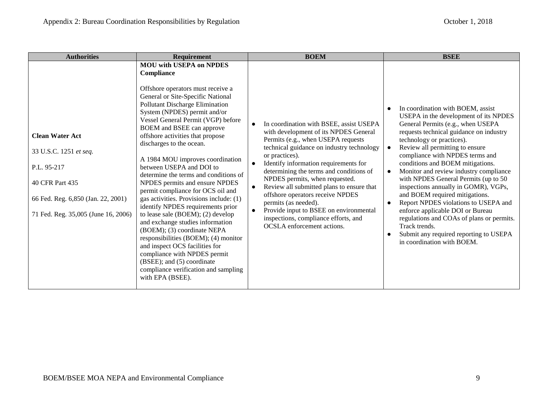| <b>Authorities</b>                                                                                                                                              | <b>Requirement</b>                                                                                                                                                                                                                                                                                                                                                                                                                                                                                                                                                                                                                                                                                                                                                                                                                                                                                       | <b>BOEM</b>                                                                                                                                                                                                                                                                                                                                                                                                                                                                                                                                                                        | <b>BSEE</b>                                                                                                                                                                                                                                                                                                                                                                                                                                                                                                                                                                                                                                                                                                            |
|-----------------------------------------------------------------------------------------------------------------------------------------------------------------|----------------------------------------------------------------------------------------------------------------------------------------------------------------------------------------------------------------------------------------------------------------------------------------------------------------------------------------------------------------------------------------------------------------------------------------------------------------------------------------------------------------------------------------------------------------------------------------------------------------------------------------------------------------------------------------------------------------------------------------------------------------------------------------------------------------------------------------------------------------------------------------------------------|------------------------------------------------------------------------------------------------------------------------------------------------------------------------------------------------------------------------------------------------------------------------------------------------------------------------------------------------------------------------------------------------------------------------------------------------------------------------------------------------------------------------------------------------------------------------------------|------------------------------------------------------------------------------------------------------------------------------------------------------------------------------------------------------------------------------------------------------------------------------------------------------------------------------------------------------------------------------------------------------------------------------------------------------------------------------------------------------------------------------------------------------------------------------------------------------------------------------------------------------------------------------------------------------------------------|
| <b>Clean Water Act</b><br>33 U.S.C. 1251 et seq.<br>P.L. 95-217<br>40 CFR Part 435<br>66 Fed. Reg. 6,850 (Jan. 22, 2001)<br>71 Fed. Reg. 35,005 (June 16, 2006) | <b>MOU with USEPA on NPDES</b><br>Compliance<br>Offshore operators must receive a<br>General or Site-Specific National<br>Pollutant Discharge Elimination<br>System (NPDES) permit and/or<br>Vessel General Permit (VGP) before<br>BOEM and BSEE can approve<br>offshore activities that propose<br>discharges to the ocean.<br>A 1984 MOU improves coordination<br>between USEPA and DOI to<br>determine the terms and conditions of<br>NPDES permits and ensure NPDES<br>permit compliance for OCS oil and<br>gas activities. Provisions include: (1)<br>identify NPDES requirements prior<br>to lease sale (BOEM); (2) develop<br>and exchange studies information<br>(BOEM); (3) coordinate NEPA<br>responsibilities (BOEM); (4) monitor<br>and inspect OCS facilities for<br>compliance with NPDES permit<br>(BSEE); and (5) coordinate<br>compliance verification and sampling<br>with EPA (BSEE). | In coordination with BSEE, assist USEPA<br>with development of its NPDES General<br>Permits (e.g., when USEPA requests<br>technical guidance on industry technology<br>or practices).<br>Identify information requirements for<br>$\bullet$<br>determining the terms and conditions of<br>NPDES permits, when requested.<br>Review all submitted plans to ensure that<br>$\bullet$<br>offshore operators receive NPDES<br>permits (as needed).<br>Provide input to BSEE on environmental<br>$\bullet$<br>inspections, compliance efforts, and<br><b>OCSLA</b> enforcement actions. | In coordination with BOEM, assist<br>USEPA in the development of its NPDES<br>General Permits (e.g., when USEPA<br>requests technical guidance on industry<br>technology or practices).<br>Review all permitting to ensure<br>compliance with NPDES terms and<br>conditions and BOEM mitigations.<br>Monitor and review industry compliance<br>$\bullet$<br>with NPDES General Permits (up to 50<br>inspections annually in GOMR), VGPs,<br>and BOEM required mitigations.<br>Report NPDES violations to USEPA and<br>$\bullet$<br>enforce applicable DOI or Bureau<br>regulations and COAs of plans or permits.<br>Track trends.<br>Submit any required reporting to USEPA<br>$\bullet$<br>in coordination with BOEM. |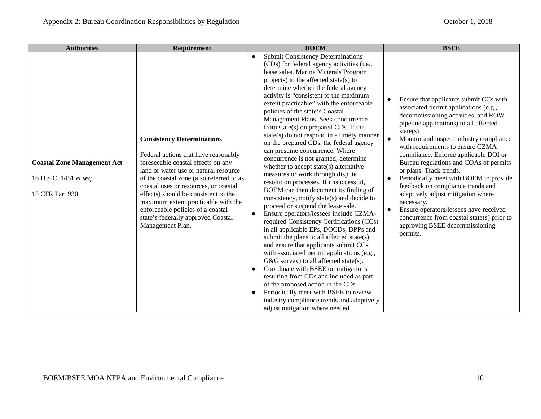| <b>Authorities</b>                                                              | <b>Requirement</b>                                                                                                                                                                                                                                                                                                                                                                                                          | <b>BOEM</b>                                                                                                                                                                                                                                                                                                                                                                                                                                                                                                                                                                                                                                                                                                                                                                                                                                                                                                                                                                                                                                                                                                                                                                                                                                                                                                                                                                                                                                                | <b>BSEE</b>                                                                                                                                                                                                                                                                                                                                                                                                                                                                                                                                                                                                                                                         |
|---------------------------------------------------------------------------------|-----------------------------------------------------------------------------------------------------------------------------------------------------------------------------------------------------------------------------------------------------------------------------------------------------------------------------------------------------------------------------------------------------------------------------|------------------------------------------------------------------------------------------------------------------------------------------------------------------------------------------------------------------------------------------------------------------------------------------------------------------------------------------------------------------------------------------------------------------------------------------------------------------------------------------------------------------------------------------------------------------------------------------------------------------------------------------------------------------------------------------------------------------------------------------------------------------------------------------------------------------------------------------------------------------------------------------------------------------------------------------------------------------------------------------------------------------------------------------------------------------------------------------------------------------------------------------------------------------------------------------------------------------------------------------------------------------------------------------------------------------------------------------------------------------------------------------------------------------------------------------------------------|---------------------------------------------------------------------------------------------------------------------------------------------------------------------------------------------------------------------------------------------------------------------------------------------------------------------------------------------------------------------------------------------------------------------------------------------------------------------------------------------------------------------------------------------------------------------------------------------------------------------------------------------------------------------|
| <b>Coastal Zone Management Act</b><br>16 U.S.C. 1451 et seq.<br>15 CFR Part 930 | <b>Consistency Determinations</b><br>Federal actions that have reasonably<br>foreseeable coastal effects on any<br>land or water use or natural resource<br>of the coastal zone (also referred to as<br>coastal uses or resources, or coastal<br>effects) should be consistent to the<br>maximum extent practicable with the<br>enforceable policies of a coastal<br>state's federally approved Coastal<br>Management Plan. | <b>Submit Consistency Determinations</b><br>$\bullet$<br>(CDs) for federal agency activities (i.e.,<br>lease sales, Marine Minerals Program<br>projects) to the affected state(s) to<br>determine whether the federal agency<br>activity is "consistent to the maximum<br>extent practicable" with the enforceable<br>policies of the state's Coastal<br>Management Plans. Seek concurrence<br>from $state(s)$ on prepared CDs. If the<br>$state(s)$ do not respond in a timely manner<br>on the prepared CDs, the federal agency<br>can presume concurrence. Where<br>concurrence is not granted, determine<br>whether to accept state(s) alternative<br>measures or work through dispute<br>resolution processes. If unsuccessful,<br>BOEM can then document its finding of<br>consistency, notify state(s) and decide to<br>proceed or suspend the lease sale.<br>Ensure operators/lessees include CZMA-<br>$\bullet$<br>required Consistency Certifications (CCs)<br>in all applicable EPs, DOCDs, DPPs and<br>submit the plans to all affected state(s)<br>and ensure that applicants submit CCs<br>with associated permit applications (e.g.,<br>G&G survey) to all affected state(s).<br>Coordinate with BSEE on mitigations<br>$\bullet$<br>resulting from CDs and included as part<br>of the proposed action in the CDs.<br>Periodically meet with BSEE to review<br>industry compliance trends and adaptively<br>adjust mitigation where needed. | Ensure that applicants submit CCs with<br>associated permit applications (e.g.,<br>decommissioning activities, and ROW<br>pipeline applications) to all affected<br>$state(s)$ .<br>Monitor and inspect industry compliance<br>with requirements to ensure CZMA<br>compliance. Enforce applicable DOI or<br>Bureau regulations and COAs of permits<br>or plans. Track trends.<br>Periodically meet with BOEM to provide<br>$\bullet$<br>feedback on compliance trends and<br>adaptively adjust mitigation where<br>necessary.<br>Ensure operators/lessees have received<br>concurrence from coastal state(s) prior to<br>approving BSEE decommissioning<br>permits. |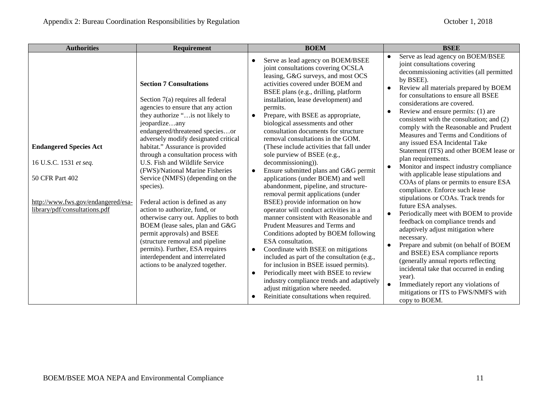| <b>Authorities</b>                                                                                                                                | <b>Requirement</b>                                                                                                                                                                                                                                                                                                                                                                                                                                                                                                                                                                                                                                                                                                                                                    | <b>BOEM</b>                                                                                                                                                                                                                                                                                                                                                                                                                                                                                                                                                                                                                                                                                                                                                                                                                                                                                                                                                                                                                                                                                                                                                                                                                                                                  | <b>BSEE</b>                                                                                                                                                                                                                                                                                                                                                                                                                                                                                                                                                                                                                                                                                                                                                                                                                                                                                                                                                                                                                                                                                                                                                                                                |
|---------------------------------------------------------------------------------------------------------------------------------------------------|-----------------------------------------------------------------------------------------------------------------------------------------------------------------------------------------------------------------------------------------------------------------------------------------------------------------------------------------------------------------------------------------------------------------------------------------------------------------------------------------------------------------------------------------------------------------------------------------------------------------------------------------------------------------------------------------------------------------------------------------------------------------------|------------------------------------------------------------------------------------------------------------------------------------------------------------------------------------------------------------------------------------------------------------------------------------------------------------------------------------------------------------------------------------------------------------------------------------------------------------------------------------------------------------------------------------------------------------------------------------------------------------------------------------------------------------------------------------------------------------------------------------------------------------------------------------------------------------------------------------------------------------------------------------------------------------------------------------------------------------------------------------------------------------------------------------------------------------------------------------------------------------------------------------------------------------------------------------------------------------------------------------------------------------------------------|------------------------------------------------------------------------------------------------------------------------------------------------------------------------------------------------------------------------------------------------------------------------------------------------------------------------------------------------------------------------------------------------------------------------------------------------------------------------------------------------------------------------------------------------------------------------------------------------------------------------------------------------------------------------------------------------------------------------------------------------------------------------------------------------------------------------------------------------------------------------------------------------------------------------------------------------------------------------------------------------------------------------------------------------------------------------------------------------------------------------------------------------------------------------------------------------------------|
| <b>Endangered Species Act</b><br>16 U.S.C. 1531 et seq.<br>50 CFR Part 402<br>http://www.fws.gov/endangered/esa-<br>library/pdf/consultations.pdf | <b>Section 7 Consultations</b><br>Section 7(a) requires all federal<br>agencies to ensure that any action<br>they authorize " is not likely to<br>jeopardizeany<br>endangered/threatened speciesor<br>adversely modify designated critical<br>habitat." Assurance is provided<br>through a consultation process with<br>U.S. Fish and Wildlife Service<br>(FWS)/National Marine Fisheries<br>Service (NMFS) (depending on the<br>species).<br>Federal action is defined as any<br>action to authorize, fund, or<br>otherwise carry out. Applies to both<br>BOEM (lease sales, plan and G&G<br>permit approvals) and BSEE<br>(structure removal and pipeline<br>permits). Further, ESA requires<br>interdependent and interrelated<br>actions to be analyzed together. | Serve as lead agency on BOEM/BSEE<br>$\bullet$<br>joint consultations covering OCSLA<br>leasing, G&G surveys, and most OCS<br>activities covered under BOEM and<br>BSEE plans (e.g., drilling, platform<br>installation, lease development) and<br>permits.<br>Prepare, with BSEE as appropriate,<br>$\bullet$<br>biological assessments and other<br>consultation documents for structure<br>removal consultations in the GOM.<br>(These include activities that fall under<br>sole purview of BSEE (e.g.,<br>decommissioning)).<br>Ensure submitted plans and G&G permit<br>$\bullet$<br>applications (under BOEM) and well<br>abandonment, pipeline, and structure-<br>removal permit applications (under<br>BSEE) provide information on how<br>operator will conduct activities in a<br>manner consistent with Reasonable and<br>Prudent Measures and Terms and<br>Conditions adopted by BOEM following<br>ESA consultation.<br>Coordinate with BSEE on mitigations<br>$\bullet$<br>included as part of the consultation (e.g.,<br>for inclusion in BSEE issued permits).<br>Periodically meet with BSEE to review<br>$\bullet$<br>industry compliance trends and adaptively<br>adjust mitigation where needed.<br>Reinitiate consultations when required.<br>$\bullet$ | Serve as lead agency on BOEM/BSEE<br>$\bullet$<br>joint consultations covering<br>decommissioning activities (all permitted<br>by BSEE).<br>Review all materials prepared by BOEM<br>for consultations to ensure all BSEE<br>considerations are covered.<br>Review and ensure permits: (1) are<br>$\bullet$<br>consistent with the consultation; and (2)<br>comply with the Reasonable and Prudent<br>Measures and Terms and Conditions of<br>any issued ESA Incidental Take<br>Statement (ITS) and other BOEM lease or<br>plan requirements.<br>Monitor and inspect industry compliance<br>with applicable lease stipulations and<br>COAs of plans or permits to ensure ESA<br>compliance. Enforce such lease<br>stipulations or COAs. Track trends for<br>future ESA analyses.<br>Periodically meet with BOEM to provide<br>feedback on compliance trends and<br>adaptively adjust mitigation where<br>necessary.<br>Prepare and submit (on behalf of BOEM<br>and BSEE) ESA compliance reports<br>(generally annual reports reflecting<br>incidental take that occurred in ending<br>year).<br>$\bullet$<br>Immediately report any violations of<br>mitigations or ITS to FWS/NMFS with<br>copy to BOEM. |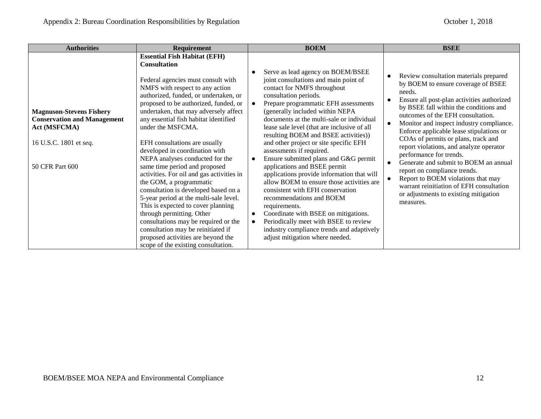| <b>Authorities</b>                                                                                                                        | <b>Requirement</b>                                                                                                                                                                                                                                                                                                                                                                                                                                                                                                                                                                                                                                                                                                                                                                                                                                          | <b>BOEM</b>                                                                                                                                                                                                                                                                                                                                                                                                                                                                                                                                                                                                                                                                                                                                                                                                                                                                          | <b>BSEE</b>                                                                                                                                                                                                                                                                                                                                                                                                                                                                                                                                                                                                                               |
|-------------------------------------------------------------------------------------------------------------------------------------------|-------------------------------------------------------------------------------------------------------------------------------------------------------------------------------------------------------------------------------------------------------------------------------------------------------------------------------------------------------------------------------------------------------------------------------------------------------------------------------------------------------------------------------------------------------------------------------------------------------------------------------------------------------------------------------------------------------------------------------------------------------------------------------------------------------------------------------------------------------------|--------------------------------------------------------------------------------------------------------------------------------------------------------------------------------------------------------------------------------------------------------------------------------------------------------------------------------------------------------------------------------------------------------------------------------------------------------------------------------------------------------------------------------------------------------------------------------------------------------------------------------------------------------------------------------------------------------------------------------------------------------------------------------------------------------------------------------------------------------------------------------------|-------------------------------------------------------------------------------------------------------------------------------------------------------------------------------------------------------------------------------------------------------------------------------------------------------------------------------------------------------------------------------------------------------------------------------------------------------------------------------------------------------------------------------------------------------------------------------------------------------------------------------------------|
| <b>Magnuson-Stevens Fishery</b><br><b>Conservation and Management</b><br><b>Act (MSFCMA)</b><br>16 U.S.C. 1801 et seq.<br>50 CFR Part 600 | <b>Essential Fish Habitat (EFH)</b><br><b>Consultation</b><br>Federal agencies must consult with<br>NMFS with respect to any action<br>authorized, funded, or undertaken, or<br>proposed to be authorized, funded, or<br>undertaken, that may adversely affect<br>any essential fish habitat identified<br>under the MSFCMA.<br>EFH consultations are usually<br>developed in coordination with<br>NEPA analyses conducted for the<br>same time period and proposed<br>activities. For oil and gas activities in<br>the GOM, a programmatic<br>consultation is developed based on a<br>5-year period at the multi-sale level.<br>This is expected to cover planning<br>through permitting. Other<br>consultations may be required or the<br>consultation may be reinitiated if<br>proposed activities are beyond the<br>scope of the existing consultation. | Serve as lead agency on BOEM/BSEE<br>joint consultations and main point of<br>contact for NMFS throughout<br>consultation periods.<br>Prepare programmatic EFH assessments<br>$\bullet$<br>(generally included within NEPA<br>documents at the multi-sale or individual<br>lease sale level (that are inclusive of all<br>resulting BOEM and BSEE activities))<br>and other project or site specific EFH<br>assessments if required.<br>Ensure submitted plans and G&G permit<br>$\bullet$<br>applications and BSEE permit<br>applications provide information that will<br>allow BOEM to ensure those activities are<br>consistent with EFH conservation<br>recommendations and BOEM<br>requirements.<br>Coordinate with BSEE on mitigations.<br>$\bullet$<br>Periodically meet with BSEE to review<br>industry compliance trends and adaptively<br>adjust mitigation where needed. | Review consultation materials prepared<br>by BOEM to ensure coverage of BSEE<br>needs.<br>Ensure all post-plan activities authorized<br>by BSEE fall within the conditions and<br>outcomes of the EFH consultation.<br>Monitor and inspect industry compliance.<br>Enforce applicable lease stipulations or<br>COAs of permits or plans, track and<br>report violations, and analyze operator<br>performance for trends.<br>Generate and submit to BOEM an annual<br>report on compliance trends.<br>Report to BOEM violations that may<br>warrant reinitiation of EFH consultation<br>or adjustments to existing mitigation<br>measures. |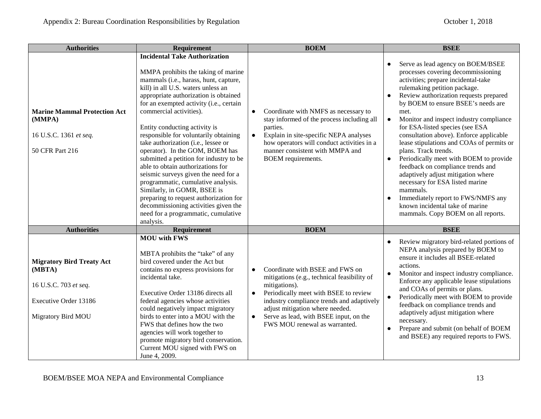| <b>Authorities</b>                                                                                                 | Requirement                                                                                                                                                                                                                                                                                                                                                                                                                                                                                                                                                                                                                                                                                                                                                      | <b>BOEM</b>                                                                                                                                                                                                                                                                                                                                | <b>BSEE</b>                                                                                                                                                                                                                                                                                                                                                                                                                                                                                                                                                                                                                                                                                                                                                                 |
|--------------------------------------------------------------------------------------------------------------------|------------------------------------------------------------------------------------------------------------------------------------------------------------------------------------------------------------------------------------------------------------------------------------------------------------------------------------------------------------------------------------------------------------------------------------------------------------------------------------------------------------------------------------------------------------------------------------------------------------------------------------------------------------------------------------------------------------------------------------------------------------------|--------------------------------------------------------------------------------------------------------------------------------------------------------------------------------------------------------------------------------------------------------------------------------------------------------------------------------------------|-----------------------------------------------------------------------------------------------------------------------------------------------------------------------------------------------------------------------------------------------------------------------------------------------------------------------------------------------------------------------------------------------------------------------------------------------------------------------------------------------------------------------------------------------------------------------------------------------------------------------------------------------------------------------------------------------------------------------------------------------------------------------------|
| <b>Marine Mammal Protection Act</b><br>(MMPA)<br>16 U.S.C. 1361 et seq.<br>50 CFR Part 216                         | <b>Incidental Take Authorization</b><br>MMPA prohibits the taking of marine<br>mammals (i.e., harass, hunt, capture,<br>kill) in all U.S. waters unless an<br>appropriate authorization is obtained<br>for an exempted activity (i.e., certain<br>commercial activities).<br>Entity conducting activity is<br>responsible for voluntarily obtaining<br>take authorization (i.e., lessee or<br>operator). In the GOM, BOEM has<br>submitted a petition for industry to be<br>able to obtain authorizations for<br>seismic surveys given the need for a<br>programmatic, cumulative analysis.<br>Similarly, in GOMR, BSEE is<br>preparing to request authorization for<br>decommissioning activities given the<br>need for a programmatic, cumulative<br>analysis. | Coordinate with NMFS as necessary to<br>$\bullet$<br>stay informed of the process including all<br>parties.<br>Explain in site-specific NEPA analyses<br>$\bullet$<br>how operators will conduct activities in a<br>manner consistent with MMPA and<br><b>BOEM</b> requirements.                                                           | Serve as lead agency on BOEM/BSEE<br>processes covering decommissioning<br>activities; prepare incidental-take<br>rulemaking petition package.<br>Review authorization requests prepared<br>$\bullet$<br>by BOEM to ensure BSEE's needs are<br>met.<br>Monitor and inspect industry compliance<br>$\bullet$<br>for ESA-listed species (see ESA<br>consultation above). Enforce applicable<br>lease stipulations and COAs of permits or<br>plans. Track trends.<br>Periodically meet with BOEM to provide<br>$\bullet$<br>feedback on compliance trends and<br>adaptively adjust mitigation where<br>necessary for ESA listed marine<br>mammals.<br>Immediately report to FWS/NMFS any<br>$\bullet$<br>known incidental take of marine<br>mammals. Copy BOEM on all reports. |
| <b>Authorities</b>                                                                                                 | <b>Requirement</b>                                                                                                                                                                                                                                                                                                                                                                                                                                                                                                                                                                                                                                                                                                                                               | <b>BOEM</b>                                                                                                                                                                                                                                                                                                                                | <b>BSEE</b>                                                                                                                                                                                                                                                                                                                                                                                                                                                                                                                                                                                                                                                                                                                                                                 |
| <b>Migratory Bird Treaty Act</b><br>(MBTA)<br>16 U.S.C. 703 et seq.<br>Executive Order 13186<br>Migratory Bird MOU | <b>MOU</b> with FWS<br>MBTA prohibits the "take" of any<br>bird covered under the Act but<br>contains no express provisions for<br>incidental take.<br>Executive Order 13186 directs all<br>federal agencies whose activities<br>could negatively impact migratory<br>birds to enter into a MOU with the<br>FWS that defines how the two<br>agencies will work together to<br>promote migratory bird conservation.<br>Current MOU signed with FWS on<br>June 4, 2009.                                                                                                                                                                                                                                                                                            | Coordinate with BSEE and FWS on<br>$\bullet$<br>mitigations (e.g., technical feasibility of<br>mitigations).<br>Periodically meet with BSEE to review<br>$\bullet$<br>industry compliance trends and adaptively<br>adjust mitigation where needed.<br>Serve as lead, with BSEE input, on the<br>$\bullet$<br>FWS MOU renewal as warranted. | Review migratory bird-related portions of<br>$\bullet$<br>NEPA analysis prepared by BOEM to<br>ensure it includes all BSEE-related<br>actions.<br>Monitor and inspect industry compliance.<br>$\bullet$<br>Enforce any applicable lease stipulations<br>and COAs of permits or plans.<br>Periodically meet with BOEM to provide<br>$\bullet$<br>feedback on compliance trends and<br>adaptively adjust mitigation where<br>necessary.<br>Prepare and submit (on behalf of BOEM<br>and BSEE) any required reports to FWS.                                                                                                                                                                                                                                                    |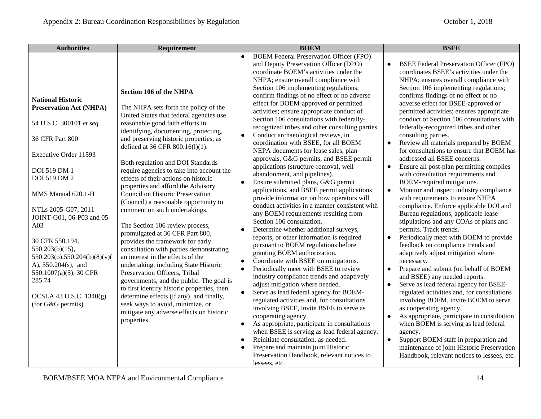| <b>Authorities</b>                                                                                                                                                                                                                                                                                                                                                                                                                                                 | <b>Requirement</b>                                                                                                                                                                                                                                                                                                                                                                                                                                                                                                                                                                                                                                                                                                                                                                                                                                                                                                                                                                                                                                                   | <b>BOEM</b>                                                                                                                                                                                                                                                                                                                                                                                                                                                                                                                                                                                                                                                                                                                                                                                                                                                                                                                                                                                                                                                                                                                                                                                                                                                                                                                                                                                                                                                                                                                                                                                                                                                                                                                                                                                             | <b>BSEE</b>                                                                                                                                                                                                                                                                                                                                                                                                                                                                                                                                                                                                                                                                                                                                                                                                                                                                                                                                                                                                                                                                                                                                                                                                                                                                                                                                                                                                                                                                                                                                            |
|--------------------------------------------------------------------------------------------------------------------------------------------------------------------------------------------------------------------------------------------------------------------------------------------------------------------------------------------------------------------------------------------------------------------------------------------------------------------|----------------------------------------------------------------------------------------------------------------------------------------------------------------------------------------------------------------------------------------------------------------------------------------------------------------------------------------------------------------------------------------------------------------------------------------------------------------------------------------------------------------------------------------------------------------------------------------------------------------------------------------------------------------------------------------------------------------------------------------------------------------------------------------------------------------------------------------------------------------------------------------------------------------------------------------------------------------------------------------------------------------------------------------------------------------------|---------------------------------------------------------------------------------------------------------------------------------------------------------------------------------------------------------------------------------------------------------------------------------------------------------------------------------------------------------------------------------------------------------------------------------------------------------------------------------------------------------------------------------------------------------------------------------------------------------------------------------------------------------------------------------------------------------------------------------------------------------------------------------------------------------------------------------------------------------------------------------------------------------------------------------------------------------------------------------------------------------------------------------------------------------------------------------------------------------------------------------------------------------------------------------------------------------------------------------------------------------------------------------------------------------------------------------------------------------------------------------------------------------------------------------------------------------------------------------------------------------------------------------------------------------------------------------------------------------------------------------------------------------------------------------------------------------------------------------------------------------------------------------------------------------|--------------------------------------------------------------------------------------------------------------------------------------------------------------------------------------------------------------------------------------------------------------------------------------------------------------------------------------------------------------------------------------------------------------------------------------------------------------------------------------------------------------------------------------------------------------------------------------------------------------------------------------------------------------------------------------------------------------------------------------------------------------------------------------------------------------------------------------------------------------------------------------------------------------------------------------------------------------------------------------------------------------------------------------------------------------------------------------------------------------------------------------------------------------------------------------------------------------------------------------------------------------------------------------------------------------------------------------------------------------------------------------------------------------------------------------------------------------------------------------------------------------------------------------------------------|
| <b>National Historic</b><br><b>Preservation Act (NHPA)</b><br>54 U.S.C. 300101 et seq.<br>36 CFR Part 800<br>Executive Order 11593<br><b>DOI 519 DM 1</b><br>DOI 519 DM 2<br>MMS Manual 620.1-H<br>NTLs 2005-G07, 2011<br>JOINT-G01, 06-P03 and 05-<br>A <sub>03</sub><br>30 CFR 550.194,<br>$550.203(b)(15)$ ,<br>$550.203(o)$ , $550.204(b)(8)(v)$<br>A), $550.204(s)$ , and<br>550.1007(a)(5); 30 CFR<br>285.74<br>OCSLA 43 U.S.C. 1340(g)<br>(for G&G permits) | <b>Section 106 of the NHPA</b><br>The NHPA sets forth the policy of the<br>United States that federal agencies use<br>reasonable good faith efforts in<br>identifying, documenting, protecting,<br>and preserving historic properties, as<br>defined at 36 CFR 800.16(1)(1).<br>Both regulation and DOI Standards<br>require agencies to take into account the<br>effects of their actions on historic<br>properties and afford the Advisory<br>Council on Historic Preservation<br>(Council) a reasonable opportunity to<br>comment on such undertakings.<br>The Section 106 review process,<br>promulgated at 36 CFR Part 800,<br>provides the framework for early<br>consultation with parties demonstrating<br>an interest in the effects of the<br>undertaking, including State Historic<br>Preservation Officers, Tribal<br>governments, and the public. The goal is<br>to first identify historic properties, then<br>determine effects (if any), and finally,<br>seek ways to avoid, minimize, or<br>mitigate any adverse effects on historic<br>properties. | <b>BOEM Federal Preservation Officer (FPO)</b><br>and Deputy Preservation Officer (DPO)<br>coordinate BOEM's activities under the<br>NHPA; ensure overall compliance with<br>Section 106 implementing regulations;<br>confirm findings of no effect or no adverse<br>effect for BOEM-approved or permitted<br>activities; ensure appropriate conduct of<br>Section 106 consultations with federally-<br>recognized tribes and other consulting parties.<br>Conduct archaeological reviews, in<br>$\bullet$<br>coordination with BSEE, for all BOEM<br>NEPA documents for lease sales, plan<br>approvals, G&G permits, and BSEE permit<br>applications (structure-removal, well<br>abandonment, and pipelines).<br>Ensure submitted plans, G&G permit<br>$\bullet$<br>applications, and BSEE permit applications<br>provide information on how operators will<br>conduct activities in a manner consistent with<br>any BOEM requirements resulting from<br>Section 106 consultation.<br>Determine whether additional surveys,<br>$\bullet$<br>reports, or other information is required<br>pursuant to BOEM regulations before<br>granting BOEM authorization.<br>Coordinate with BSEE on mitigations.<br>$\bullet$<br>Periodically meet with BSEE to review<br>industry compliance trends and adaptively<br>adjust mitigation where needed.<br>Serve as lead federal agency for BOEM-<br>$\bullet$<br>regulated activities and, for consultations<br>involving BSEE, invite BSEE to serve as<br>cooperating agency.<br>As appropriate, participate in consultations<br>$\bullet$<br>when BSEE is serving as lead federal agency.<br>Reinitiate consultation, as needed.<br>$\bullet$<br>Prepare and maintain joint Historic<br>$\bullet$<br>Preservation Handbook, relevant notices to<br>lessees, etc. | <b>BSEE Federal Preservation Officer (FPO)</b><br>coordinates BSEE's activities under the<br>NHPA; ensures overall compliance with<br>Section 106 implementing regulations;<br>confirms findings of no effect or no<br>adverse effect for BSEE-approved or<br>permitted activities; ensures appropriate<br>conduct of Section 106 consultations with<br>federally-recognized tribes and other<br>consulting parties.<br>Review all materials prepared by BOEM<br>$\bullet$<br>for consultations to ensure that BOEM has<br>addressed all BSEE concerns.<br>Ensure all post-plan permitting complies<br>$\bullet$<br>with consultation requirements and<br>BOEM-required mitigations.<br>Monitor and inspect industry compliance<br>with requirements to ensure NHPA<br>compliance. Enforce applicable DOI and<br>Bureau regulations, applicable lease<br>stipulations and any COAs of plans and<br>permits. Track trends.<br>Periodically meet with BOEM to provide<br>feedback on compliance trends and<br>adaptively adjust mitigation where<br>necessary.<br>Prepare and submit (on behalf of BOEM<br>and BSEE) any needed reports.<br>Serve as lead federal agency for BSEE-<br>regulated activities and, for consultations<br>involving BOEM, invite BOEM to serve<br>as cooperating agency.<br>As appropriate, participate in consultation<br>when BOEM is serving as lead federal<br>agency.<br>Support BOEM staff in preparation and<br>$\bullet$<br>maintenance of joint Historic Preservation<br>Handbook, relevant notices to lessees, etc. |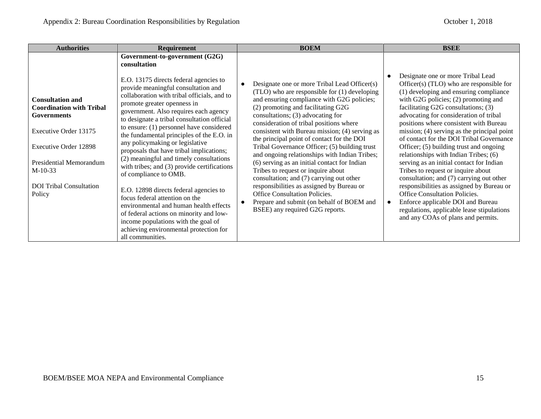|                                                                                                                                                                                                                                                                                                                                                                                                                                                                                                                                                                                                                                                                                                                                                                                                                                                                                                                                                                                                                                                                                                  | <b>BOEM</b>                                                                                                                                                                                                                                                                                                                                                                                                                                                                                                                                                                                                                                                                                                                                                        | <b>BSEE</b>                                                                                                                                                                                                                                                                                                                                                                                                                                                                                                                                                                                                                                                                                                                                                                                                    |
|--------------------------------------------------------------------------------------------------------------------------------------------------------------------------------------------------------------------------------------------------------------------------------------------------------------------------------------------------------------------------------------------------------------------------------------------------------------------------------------------------------------------------------------------------------------------------------------------------------------------------------------------------------------------------------------------------------------------------------------------------------------------------------------------------------------------------------------------------------------------------------------------------------------------------------------------------------------------------------------------------------------------------------------------------------------------------------------------------|--------------------------------------------------------------------------------------------------------------------------------------------------------------------------------------------------------------------------------------------------------------------------------------------------------------------------------------------------------------------------------------------------------------------------------------------------------------------------------------------------------------------------------------------------------------------------------------------------------------------------------------------------------------------------------------------------------------------------------------------------------------------|----------------------------------------------------------------------------------------------------------------------------------------------------------------------------------------------------------------------------------------------------------------------------------------------------------------------------------------------------------------------------------------------------------------------------------------------------------------------------------------------------------------------------------------------------------------------------------------------------------------------------------------------------------------------------------------------------------------------------------------------------------------------------------------------------------------|
| Government-to-government (G2G)<br>consultation<br>E.O. 13175 directs federal agencies to<br>provide meaningful consultation and<br>collaboration with tribal officials, and to<br><b>Consultation and</b><br>promote greater openness in<br><b>Coordination with Tribal</b><br>government. Also requires each agency<br><b>Governments</b><br>to designate a tribal consultation official<br>to ensure: (1) personnel have considered<br>Executive Order 13175<br>the fundamental principles of the E.O. in<br>any policymaking or legislative<br>Executive Order 12898<br>proposals that have tribal implications;<br>(2) meaningful and timely consultations<br>Presidential Memorandum<br>with tribes; and (3) provide certifications<br>$M-10-33$<br>of compliance to OMB.<br><b>DOI</b> Tribal Consultation<br>E.O. 12898 directs federal agencies to<br>Policy<br>focus federal attention on the<br>environmental and human health effects<br>of federal actions on minority and low-<br>income populations with the goal of<br>achieving environmental protection for<br>all communities. | Designate one or more Tribal Lead Officer(s)<br>(TLO) who are responsible for (1) developing<br>and ensuring compliance with G2G policies;<br>(2) promoting and facilitating G2G<br>consultations; (3) advocating for<br>consideration of tribal positions where<br>consistent with Bureau mission; (4) serving as<br>the principal point of contact for the DOI<br>Tribal Governance Officer; (5) building trust<br>and ongoing relationships with Indian Tribes;<br>(6) serving as an initial contact for Indian<br>Tribes to request or inquire about<br>consultation; and (7) carrying out other<br>responsibilities as assigned by Bureau or<br>Office Consultation Policies.<br>Prepare and submit (on behalf of BOEM and<br>BSEE) any required G2G reports. | Designate one or more Tribal Lead<br>Officer(s) (TLO) who are responsible for<br>(1) developing and ensuring compliance<br>with G2G policies; (2) promoting and<br>facilitating G2G consultations; (3)<br>advocating for consideration of tribal<br>positions where consistent with Bureau<br>mission; (4) serving as the principal point<br>of contact for the DOI Tribal Governance<br>Officer; (5) building trust and ongoing<br>relationships with Indian Tribes; (6)<br>serving as an initial contact for Indian<br>Tribes to request or inquire about<br>consultation; and (7) carrying out other<br>responsibilities as assigned by Bureau or<br>Office Consultation Policies.<br>Enforce applicable DOI and Bureau<br>regulations, applicable lease stipulations<br>and any COAs of plans and permits. |